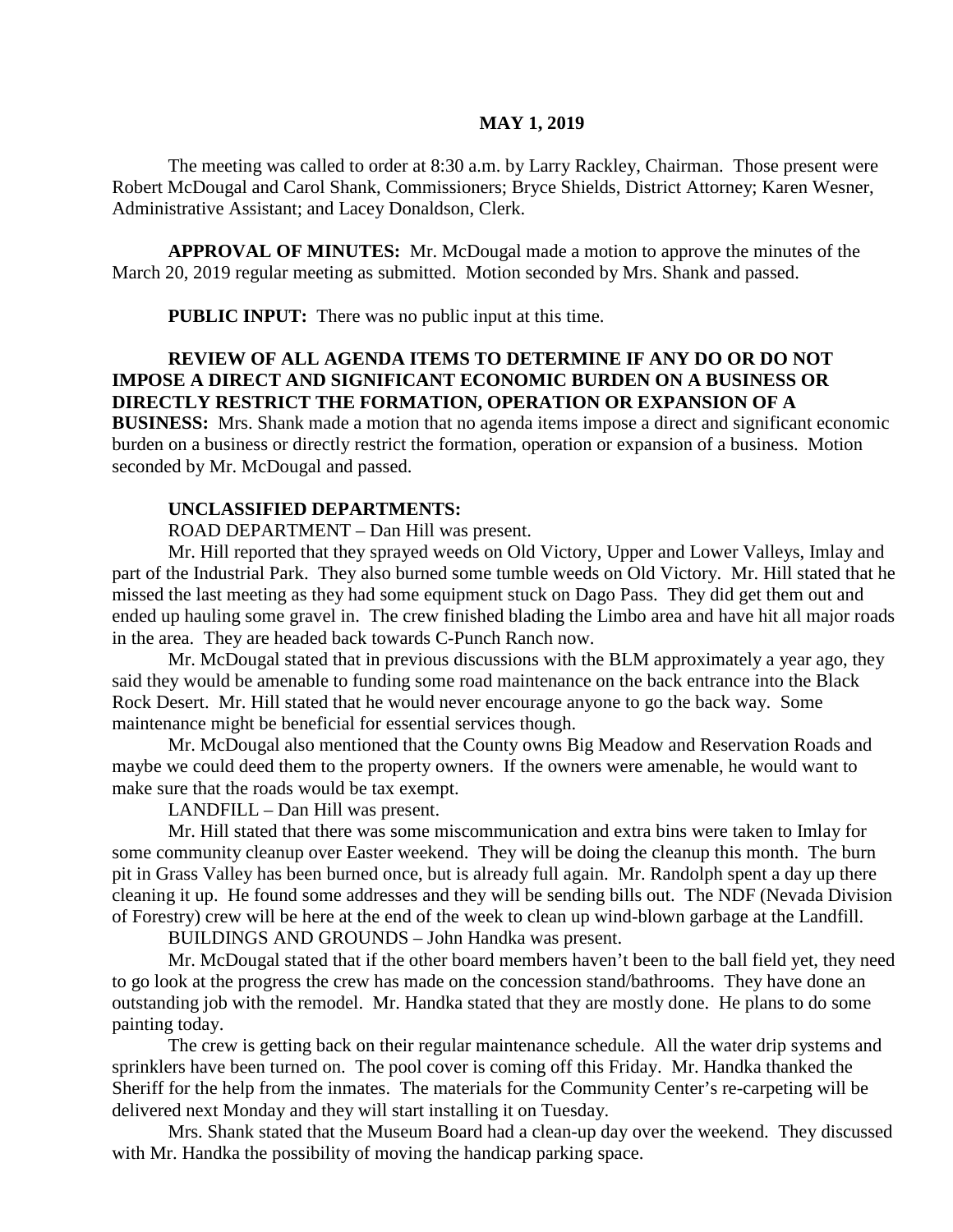#### **MAY 1, 2019**

The meeting was called to order at 8:30 a.m. by Larry Rackley, Chairman. Those present were Robert McDougal and Carol Shank, Commissioners; Bryce Shields, District Attorney; Karen Wesner, Administrative Assistant; and Lacey Donaldson, Clerk.

**APPROVAL OF MINUTES:** Mr. McDougal made a motion to approve the minutes of the March 20, 2019 regular meeting as submitted. Motion seconded by Mrs. Shank and passed.

 **PUBLIC INPUT:** There was no public input at this time.

# **REVIEW OF ALL AGENDA ITEMS TO DETERMINE IF ANY DO OR DO NOT IMPOSE A DIRECT AND SIGNIFICANT ECONOMIC BURDEN ON A BUSINESS OR DIRECTLY RESTRICT THE FORMATION, OPERATION OR EXPANSION OF A**

**BUSINESS:** Mrs. Shank made a motion that no agenda items impose a direct and significant economic burden on a business or directly restrict the formation, operation or expansion of a business. Motion seconded by Mr. McDougal and passed.

### **UNCLASSIFIED DEPARTMENTS:**

ROAD DEPARTMENT – Dan Hill was present.

Mr. Hill reported that they sprayed weeds on Old Victory, Upper and Lower Valleys, Imlay and part of the Industrial Park. They also burned some tumble weeds on Old Victory. Mr. Hill stated that he missed the last meeting as they had some equipment stuck on Dago Pass. They did get them out and ended up hauling some gravel in. The crew finished blading the Limbo area and have hit all major roads in the area. They are headed back towards C-Punch Ranch now.

Mr. McDougal stated that in previous discussions with the BLM approximately a year ago, they said they would be amenable to funding some road maintenance on the back entrance into the Black Rock Desert. Mr. Hill stated that he would never encourage anyone to go the back way. Some maintenance might be beneficial for essential services though.

Mr. McDougal also mentioned that the County owns Big Meadow and Reservation Roads and maybe we could deed them to the property owners. If the owners were amenable, he would want to make sure that the roads would be tax exempt.

LANDFILL – Dan Hill was present.

Mr. Hill stated that there was some miscommunication and extra bins were taken to Imlay for some community cleanup over Easter weekend. They will be doing the cleanup this month. The burn pit in Grass Valley has been burned once, but is already full again. Mr. Randolph spent a day up there cleaning it up. He found some addresses and they will be sending bills out. The NDF (Nevada Division of Forestry) crew will be here at the end of the week to clean up wind-blown garbage at the Landfill.

BUILDINGS AND GROUNDS – John Handka was present.

Mr. McDougal stated that if the other board members haven't been to the ball field yet, they need to go look at the progress the crew has made on the concession stand/bathrooms. They have done an outstanding job with the remodel. Mr. Handka stated that they are mostly done. He plans to do some painting today.

The crew is getting back on their regular maintenance schedule. All the water drip systems and sprinklers have been turned on. The pool cover is coming off this Friday. Mr. Handka thanked the Sheriff for the help from the inmates. The materials for the Community Center's re-carpeting will be delivered next Monday and they will start installing it on Tuesday.

Mrs. Shank stated that the Museum Board had a clean-up day over the weekend. They discussed with Mr. Handka the possibility of moving the handicap parking space.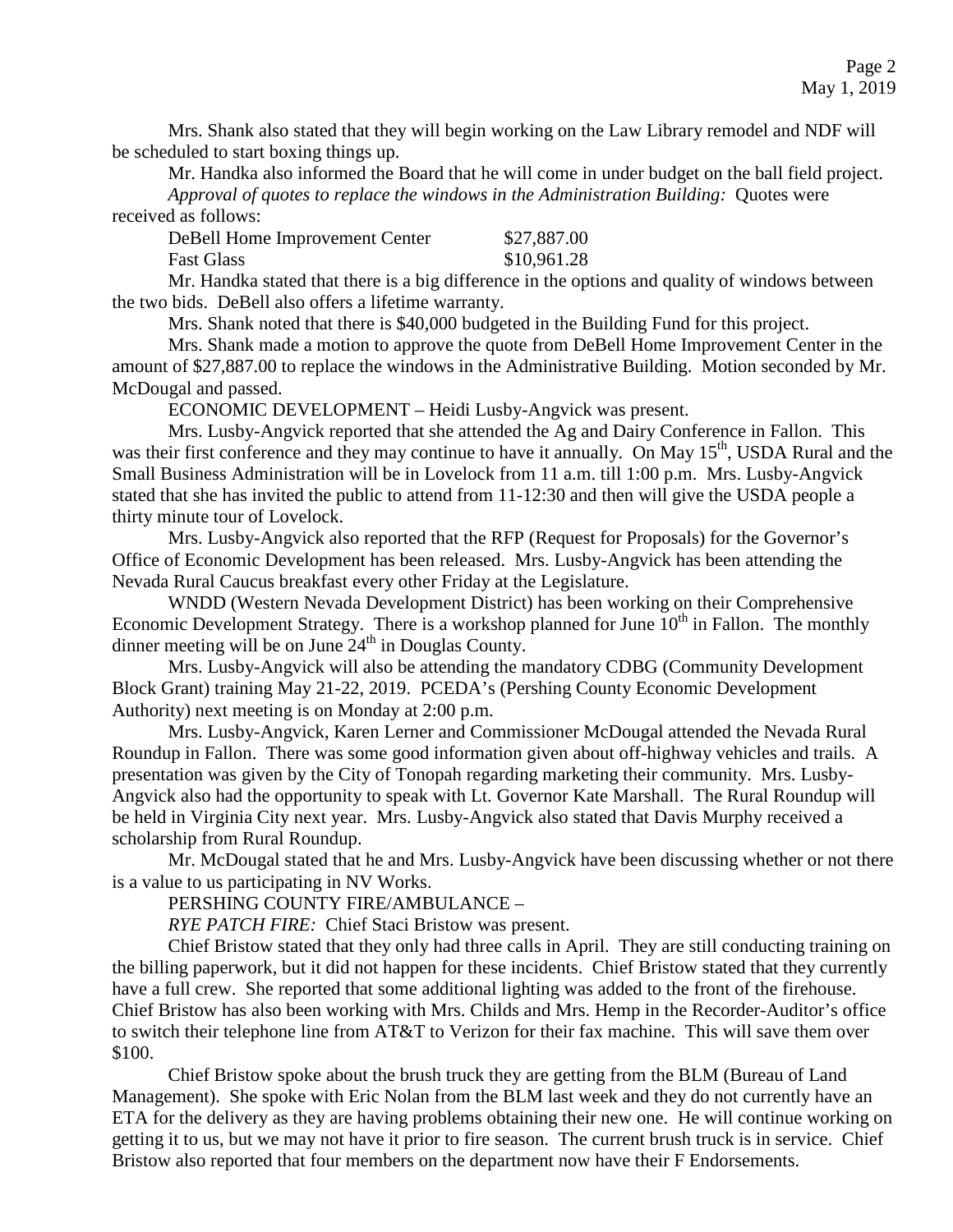Mrs. Shank also stated that they will begin working on the Law Library remodel and NDF will be scheduled to start boxing things up.

Mr. Handka also informed the Board that he will come in under budget on the ball field project. *Approval of quotes to replace the windows in the Administration Building:* Quotes were received as follows:

| DeBell Home Improvement Center | \$27,887.00 |
|--------------------------------|-------------|
| <b>Fast Glass</b>              | \$10,961.28 |

Mr. Handka stated that there is a big difference in the options and quality of windows between the two bids. DeBell also offers a lifetime warranty.

Mrs. Shank noted that there is \$40,000 budgeted in the Building Fund for this project.

Mrs. Shank made a motion to approve the quote from DeBell Home Improvement Center in the amount of \$27,887.00 to replace the windows in the Administrative Building. Motion seconded by Mr. McDougal and passed.

ECONOMIC DEVELOPMENT – Heidi Lusby-Angvick was present.

Mrs. Lusby-Angvick reported that she attended the Ag and Dairy Conference in Fallon. This was their first conference and they may continue to have it annually. On May 15<sup>th</sup>, USDA Rural and the Small Business Administration will be in Lovelock from 11 a.m. till 1:00 p.m. Mrs. Lusby-Angvick stated that she has invited the public to attend from 11-12:30 and then will give the USDA people a thirty minute tour of Lovelock.

Mrs. Lusby-Angvick also reported that the RFP (Request for Proposals) for the Governor's Office of Economic Development has been released. Mrs. Lusby-Angvick has been attending the Nevada Rural Caucus breakfast every other Friday at the Legislature.

WNDD (Western Nevada Development District) has been working on their Comprehensive Economic Development Strategy. There is a workshop planned for June  $10<sup>th</sup>$  in Fallon. The monthly dinner meeting will be on June  $24<sup>th</sup>$  in Douglas County.

Mrs. Lusby-Angvick will also be attending the mandatory CDBG (Community Development Block Grant) training May 21-22, 2019. PCEDA's (Pershing County Economic Development Authority) next meeting is on Monday at 2:00 p.m.

Mrs. Lusby-Angvick, Karen Lerner and Commissioner McDougal attended the Nevada Rural Roundup in Fallon. There was some good information given about off-highway vehicles and trails. A presentation was given by the City of Tonopah regarding marketing their community. Mrs. Lusby-Angvick also had the opportunity to speak with Lt. Governor Kate Marshall. The Rural Roundup will be held in Virginia City next year. Mrs. Lusby-Angvick also stated that Davis Murphy received a scholarship from Rural Roundup.

Mr. McDougal stated that he and Mrs. Lusby-Angvick have been discussing whether or not there is a value to us participating in NV Works.

PERSHING COUNTY FIRE/AMBULANCE –

*RYE PATCH FIRE:* Chief Staci Bristow was present.

Chief Bristow stated that they only had three calls in April. They are still conducting training on the billing paperwork, but it did not happen for these incidents. Chief Bristow stated that they currently have a full crew. She reported that some additional lighting was added to the front of the firehouse. Chief Bristow has also been working with Mrs. Childs and Mrs. Hemp in the Recorder-Auditor's office to switch their telephone line from AT&T to Verizon for their fax machine. This will save them over \$100.

Chief Bristow spoke about the brush truck they are getting from the BLM (Bureau of Land Management). She spoke with Eric Nolan from the BLM last week and they do not currently have an ETA for the delivery as they are having problems obtaining their new one. He will continue working on getting it to us, but we may not have it prior to fire season. The current brush truck is in service. Chief Bristow also reported that four members on the department now have their F Endorsements.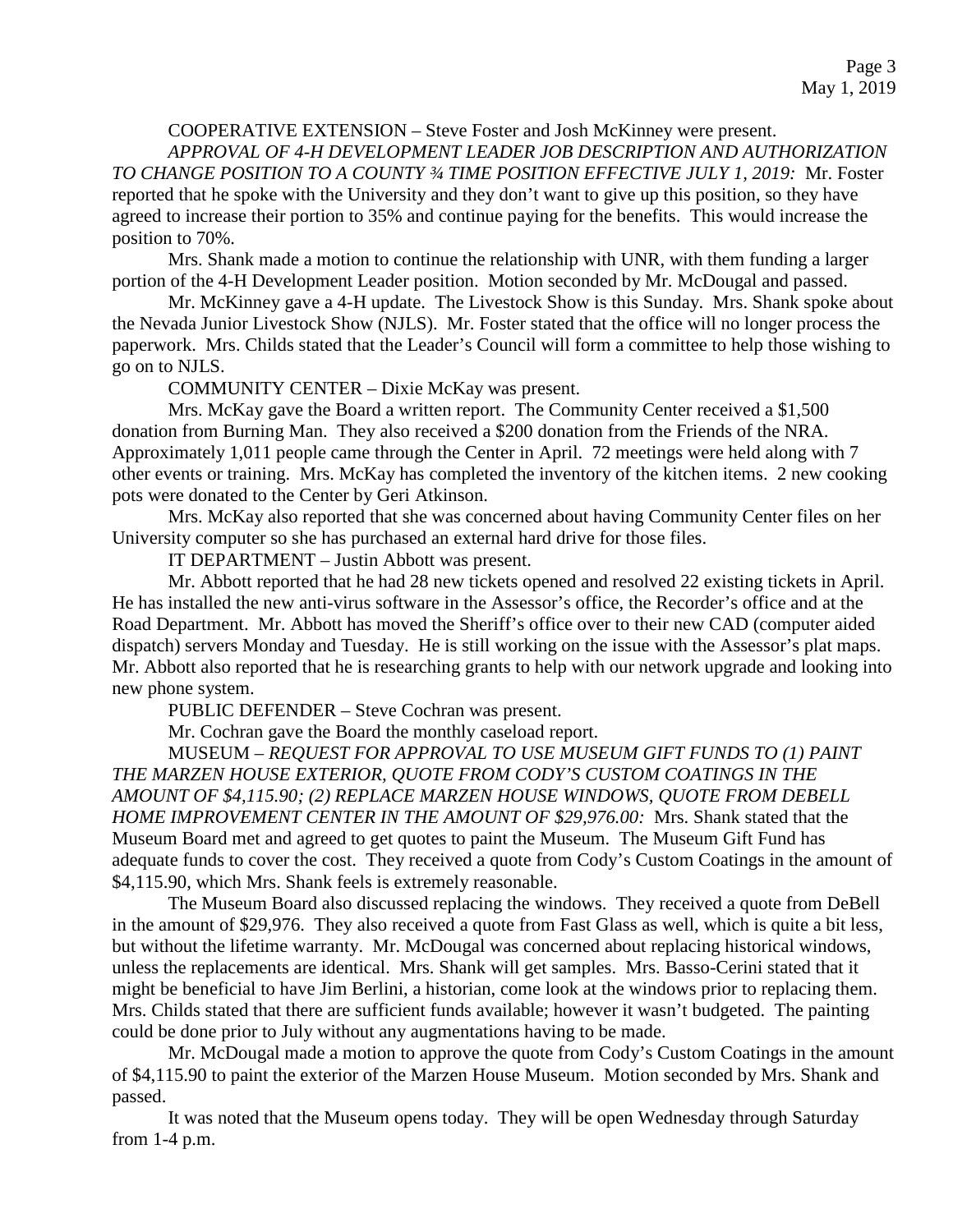### COOPERATIVE EXTENSION – Steve Foster and Josh McKinney were present.

*APPROVAL OF 4-H DEVELOPMENT LEADER JOB DESCRIPTION AND AUTHORIZATION TO CHANGE POSITION TO A COUNTY ¾ TIME POSITION EFFECTIVE JULY 1, 2019:* Mr. Foster reported that he spoke with the University and they don't want to give up this position, so they have agreed to increase their portion to 35% and continue paying for the benefits. This would increase the position to 70%.

Mrs. Shank made a motion to continue the relationship with UNR, with them funding a larger portion of the 4-H Development Leader position. Motion seconded by Mr. McDougal and passed.

Mr. McKinney gave a 4-H update. The Livestock Show is this Sunday. Mrs. Shank spoke about the Nevada Junior Livestock Show (NJLS). Mr. Foster stated that the office will no longer process the paperwork. Mrs. Childs stated that the Leader's Council will form a committee to help those wishing to go on to NJLS.

COMMUNITY CENTER – Dixie McKay was present.

Mrs. McKay gave the Board a written report. The Community Center received a \$1,500 donation from Burning Man. They also received a \$200 donation from the Friends of the NRA. Approximately 1,011 people came through the Center in April. 72 meetings were held along with 7 other events or training. Mrs. McKay has completed the inventory of the kitchen items. 2 new cooking pots were donated to the Center by Geri Atkinson.

Mrs. McKay also reported that she was concerned about having Community Center files on her University computer so she has purchased an external hard drive for those files.

IT DEPARTMENT – Justin Abbott was present.

Mr. Abbott reported that he had 28 new tickets opened and resolved 22 existing tickets in April. He has installed the new anti-virus software in the Assessor's office, the Recorder's office and at the Road Department. Mr. Abbott has moved the Sheriff's office over to their new CAD (computer aided dispatch) servers Monday and Tuesday. He is still working on the issue with the Assessor's plat maps. Mr. Abbott also reported that he is researching grants to help with our network upgrade and looking into new phone system.

PUBLIC DEFENDER – Steve Cochran was present.

Mr. Cochran gave the Board the monthly caseload report.

MUSEUM – *REQUEST FOR APPROVAL TO USE MUSEUM GIFT FUNDS TO (1) PAINT THE MARZEN HOUSE EXTERIOR, QUOTE FROM CODY'S CUSTOM COATINGS IN THE AMOUNT OF \$4,115.90; (2) REPLACE MARZEN HOUSE WINDOWS, QUOTE FROM DEBELL HOME IMPROVEMENT CENTER IN THE AMOUNT OF \$29,976.00:* Mrs. Shank stated that the Museum Board met and agreed to get quotes to paint the Museum. The Museum Gift Fund has adequate funds to cover the cost. They received a quote from Cody's Custom Coatings in the amount of \$4,115.90, which Mrs. Shank feels is extremely reasonable.

The Museum Board also discussed replacing the windows. They received a quote from DeBell in the amount of \$29,976. They also received a quote from Fast Glass as well, which is quite a bit less, but without the lifetime warranty. Mr. McDougal was concerned about replacing historical windows, unless the replacements are identical. Mrs. Shank will get samples. Mrs. Basso-Cerini stated that it might be beneficial to have Jim Berlini, a historian, come look at the windows prior to replacing them. Mrs. Childs stated that there are sufficient funds available; however it wasn't budgeted. The painting could be done prior to July without any augmentations having to be made.

Mr. McDougal made a motion to approve the quote from Cody's Custom Coatings in the amount of \$4,115.90 to paint the exterior of the Marzen House Museum. Motion seconded by Mrs. Shank and passed.

It was noted that the Museum opens today. They will be open Wednesday through Saturday from 1-4 p.m.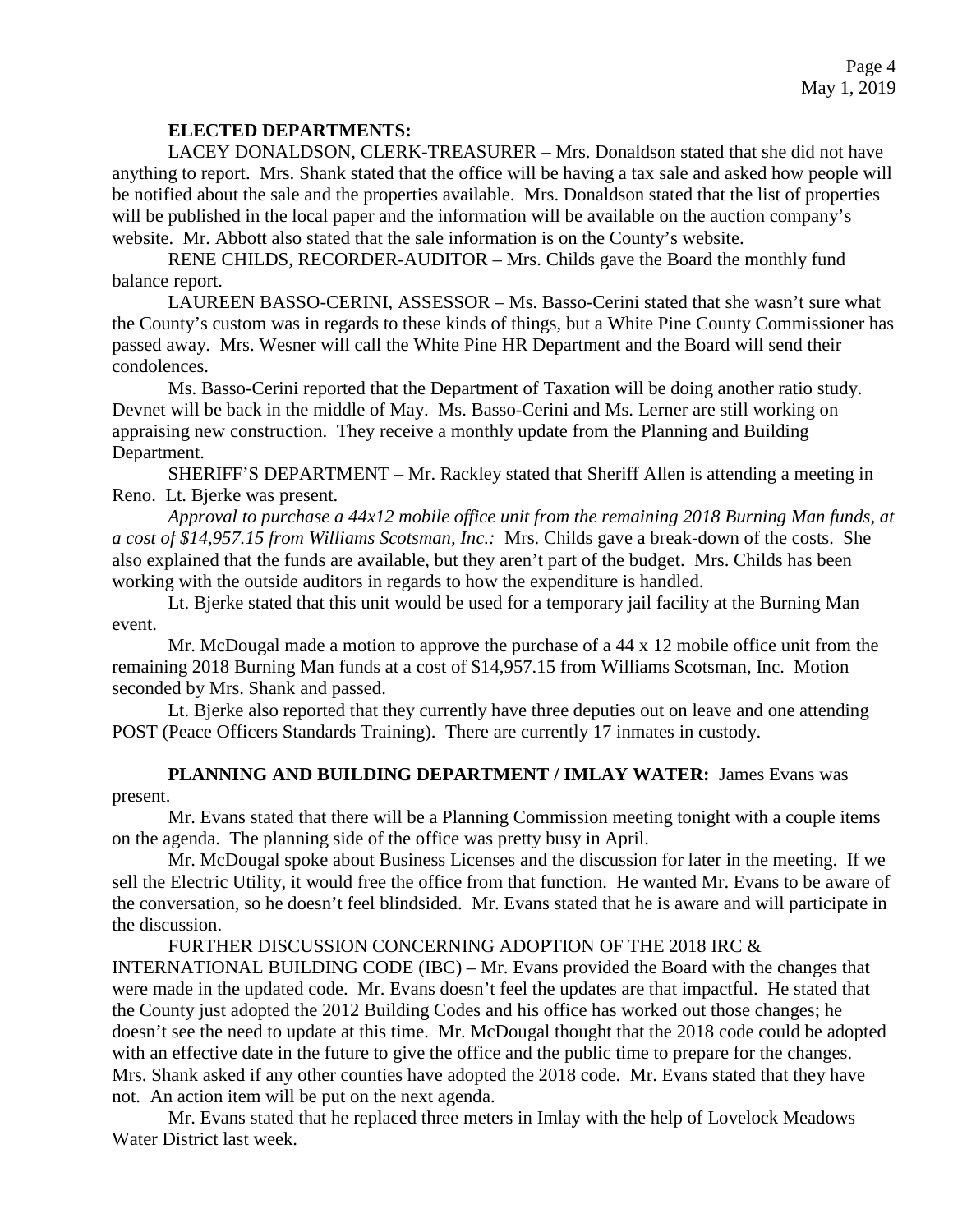## **ELECTED DEPARTMENTS:**

LACEY DONALDSON, CLERK-TREASURER – Mrs. Donaldson stated that she did not have anything to report. Mrs. Shank stated that the office will be having a tax sale and asked how people will be notified about the sale and the properties available. Mrs. Donaldson stated that the list of properties will be published in the local paper and the information will be available on the auction company's website. Mr. Abbott also stated that the sale information is on the County's website.

RENE CHILDS, RECORDER-AUDITOR – Mrs. Childs gave the Board the monthly fund balance report.

LAUREEN BASSO-CERINI, ASSESSOR – Ms. Basso-Cerini stated that she wasn't sure what the County's custom was in regards to these kinds of things, but a White Pine County Commissioner has passed away. Mrs. Wesner will call the White Pine HR Department and the Board will send their condolences.

Ms. Basso-Cerini reported that the Department of Taxation will be doing another ratio study. Devnet will be back in the middle of May. Ms. Basso-Cerini and Ms. Lerner are still working on appraising new construction. They receive a monthly update from the Planning and Building Department.

SHERIFF'S DEPARTMENT – Mr. Rackley stated that Sheriff Allen is attending a meeting in Reno. Lt. Bjerke was present.

*Approval to purchase a 44x12 mobile office unit from the remaining 2018 Burning Man funds, at a cost of \$14,957.15 from Williams Scotsman, Inc.:* Mrs. Childs gave a break-down of the costs. She also explained that the funds are available, but they aren't part of the budget. Mrs. Childs has been working with the outside auditors in regards to how the expenditure is handled.

Lt. Bjerke stated that this unit would be used for a temporary jail facility at the Burning Man event.

Mr. McDougal made a motion to approve the purchase of a 44 x 12 mobile office unit from the remaining 2018 Burning Man funds at a cost of \$14,957.15 from Williams Scotsman, Inc. Motion seconded by Mrs. Shank and passed.

Lt. Bjerke also reported that they currently have three deputies out on leave and one attending POST (Peace Officers Standards Training). There are currently 17 inmates in custody.

**PLANNING AND BUILDING DEPARTMENT / IMLAY WATER:** James Evans was present.

Mr. Evans stated that there will be a Planning Commission meeting tonight with a couple items on the agenda. The planning side of the office was pretty busy in April.

Mr. McDougal spoke about Business Licenses and the discussion for later in the meeting. If we sell the Electric Utility, it would free the office from that function. He wanted Mr. Evans to be aware of the conversation, so he doesn't feel blindsided. Mr. Evans stated that he is aware and will participate in the discussion.

FURTHER DISCUSSION CONCERNING ADOPTION OF THE 2018 IRC & INTERNATIONAL BUILDING CODE (IBC) – Mr. Evans provided the Board with the changes that were made in the updated code. Mr. Evans doesn't feel the updates are that impactful. He stated that the County just adopted the 2012 Building Codes and his office has worked out those changes; he doesn't see the need to update at this time. Mr. McDougal thought that the 2018 code could be adopted with an effective date in the future to give the office and the public time to prepare for the changes. Mrs. Shank asked if any other counties have adopted the 2018 code. Mr. Evans stated that they have not. An action item will be put on the next agenda.

Mr. Evans stated that he replaced three meters in Imlay with the help of Lovelock Meadows Water District last week.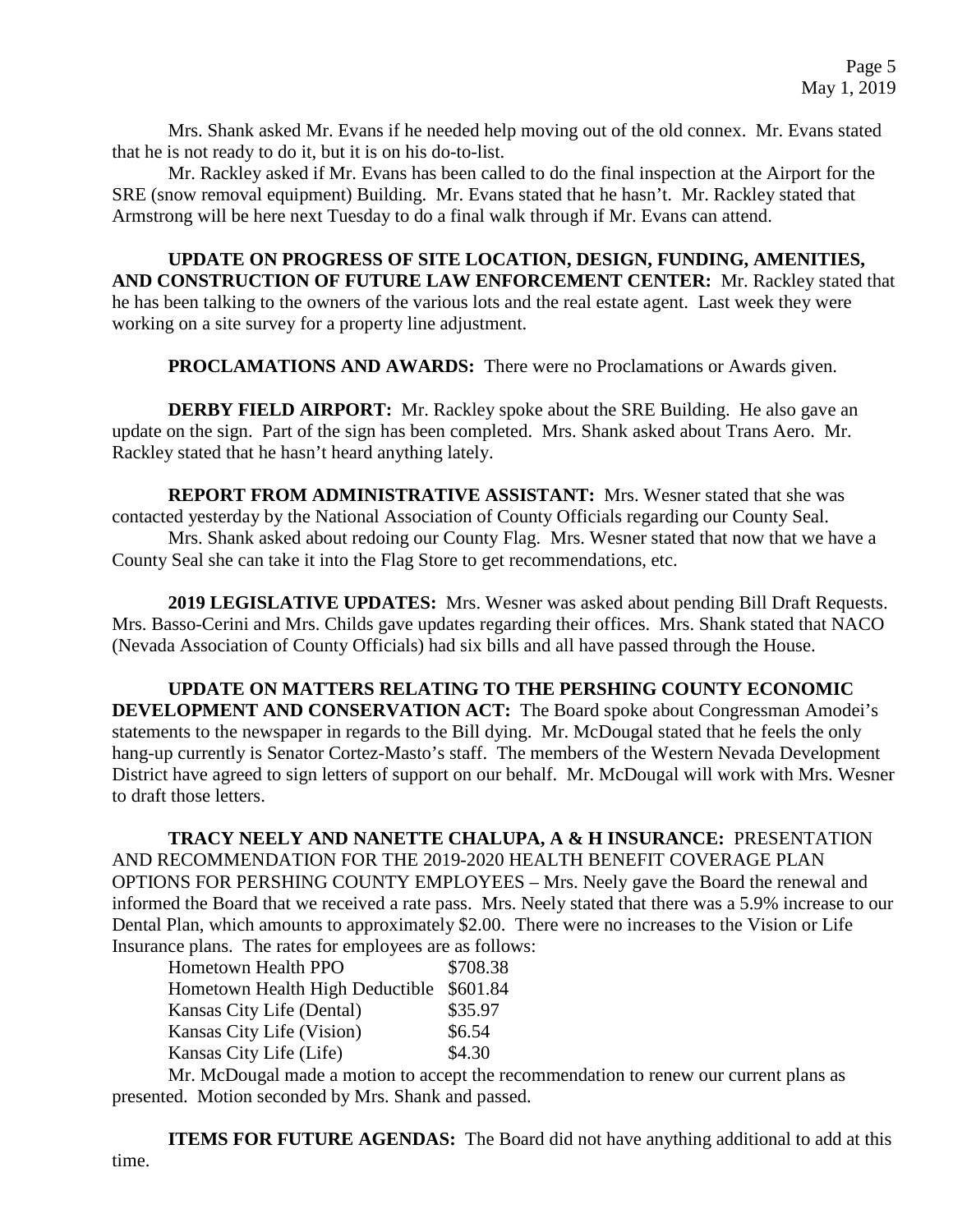Mrs. Shank asked Mr. Evans if he needed help moving out of the old connex. Mr. Evans stated that he is not ready to do it, but it is on his do-to-list.

Mr. Rackley asked if Mr. Evans has been called to do the final inspection at the Airport for the SRE (snow removal equipment) Building. Mr. Evans stated that he hasn't. Mr. Rackley stated that Armstrong will be here next Tuesday to do a final walk through if Mr. Evans can attend.

**UPDATE ON PROGRESS OF SITE LOCATION, DESIGN, FUNDING, AMENITIES, AND CONSTRUCTION OF FUTURE LAW ENFORCEMENT CENTER:** Mr. Rackley stated that he has been talking to the owners of the various lots and the real estate agent. Last week they were working on a site survey for a property line adjustment.

**PROCLAMATIONS AND AWARDS:** There were no Proclamations or Awards given.

**DERBY FIELD AIRPORT:** Mr. Rackley spoke about the SRE Building. He also gave an update on the sign. Part of the sign has been completed. Mrs. Shank asked about Trans Aero. Mr. Rackley stated that he hasn't heard anything lately.

**REPORT FROM ADMINISTRATIVE ASSISTANT:** Mrs. Wesner stated that she was contacted yesterday by the National Association of County Officials regarding our County Seal.

Mrs. Shank asked about redoing our County Flag. Mrs. Wesner stated that now that we have a County Seal she can take it into the Flag Store to get recommendations, etc.

**2019 LEGISLATIVE UPDATES:** Mrs. Wesner was asked about pending Bill Draft Requests. Mrs. Basso-Cerini and Mrs. Childs gave updates regarding their offices. Mrs. Shank stated that NACO (Nevada Association of County Officials) had six bills and all have passed through the House.

**UPDATE ON MATTERS RELATING TO THE PERSHING COUNTY ECONOMIC DEVELOPMENT AND CONSERVATION ACT:** The Board spoke about Congressman Amodei's statements to the newspaper in regards to the Bill dying. Mr. McDougal stated that he feels the only hang-up currently is Senator Cortez-Masto's staff. The members of the Western Nevada Development District have agreed to sign letters of support on our behalf. Mr. McDougal will work with Mrs. Wesner to draft those letters.

**TRACY NEELY AND NANETTE CHALUPA, A & H INSURANCE:** PRESENTATION AND RECOMMENDATION FOR THE 2019-2020 HEALTH BENEFIT COVERAGE PLAN OPTIONS FOR PERSHING COUNTY EMPLOYEES – Mrs. Neely gave the Board the renewal and informed the Board that we received a rate pass. Mrs. Neely stated that there was a 5.9% increase to our Dental Plan, which amounts to approximately \$2.00. There were no increases to the Vision or Life Insurance plans. The rates for employees are as follows:

| <b>Hometown Health PPO</b>      | \$708.38 |
|---------------------------------|----------|
| Hometown Health High Deductible | \$601.84 |
| Kansas City Life (Dental)       | \$35.97  |
| Kansas City Life (Vision)       | \$6.54   |
| Kansas City Life (Life)         | \$4.30   |
|                                 |          |

Mr. McDougal made a motion to accept the recommendation to renew our current plans as presented. Motion seconded by Mrs. Shank and passed.

**ITEMS FOR FUTURE AGENDAS:** The Board did not have anything additional to add at this time.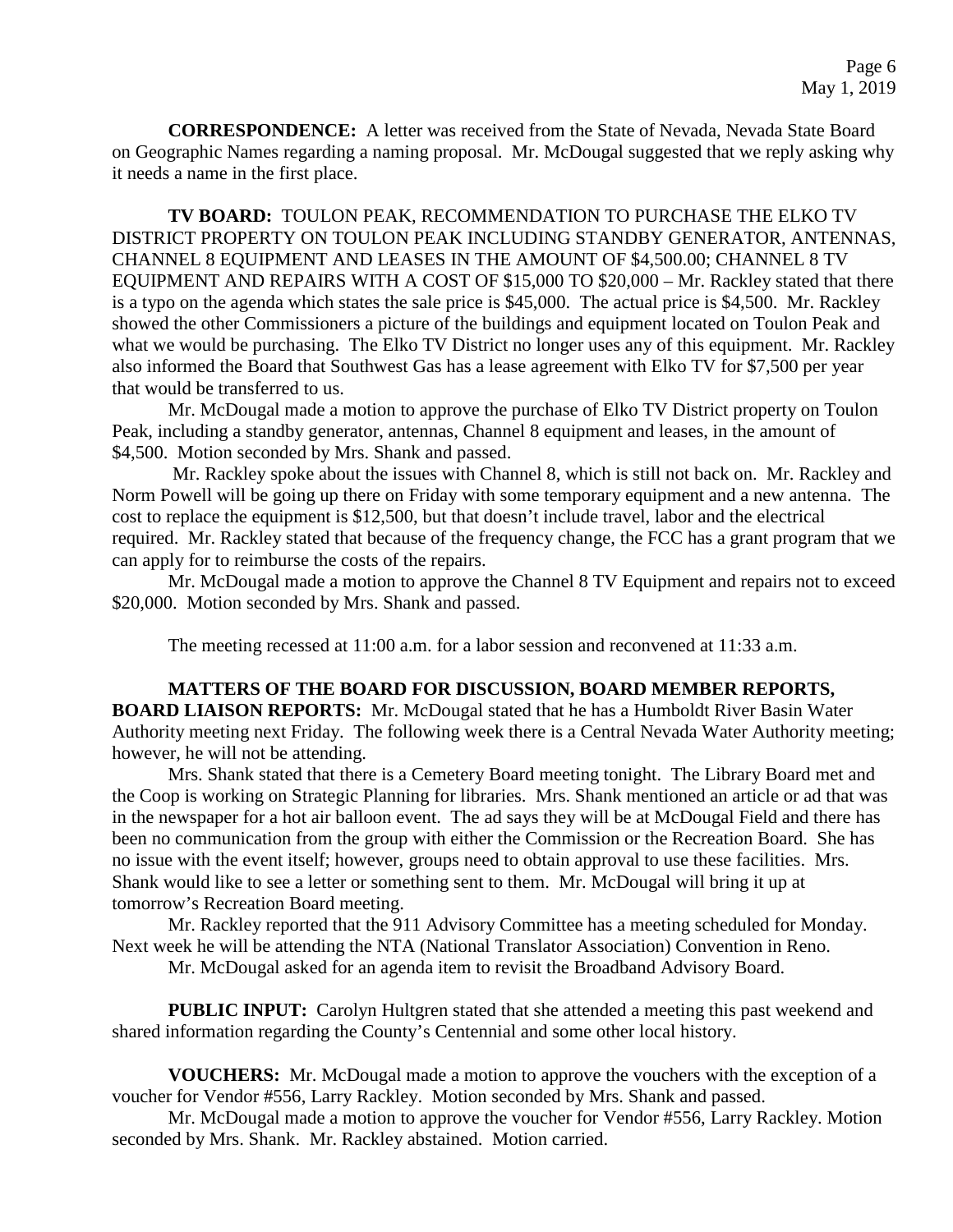**CORRESPONDENCE:** A letter was received from the State of Nevada, Nevada State Board on Geographic Names regarding a naming proposal. Mr. McDougal suggested that we reply asking why it needs a name in the first place.

**TV BOARD:** TOULON PEAK, RECOMMENDATION TO PURCHASE THE ELKO TV DISTRICT PROPERTY ON TOULON PEAK INCLUDING STANDBY GENERATOR, ANTENNAS, CHANNEL 8 EQUIPMENT AND LEASES IN THE AMOUNT OF \$4,500.00; CHANNEL 8 TV EQUIPMENT AND REPAIRS WITH A COST OF \$15,000 TO \$20,000 – Mr. Rackley stated that there is a typo on the agenda which states the sale price is \$45,000. The actual price is \$4,500. Mr. Rackley showed the other Commissioners a picture of the buildings and equipment located on Toulon Peak and what we would be purchasing. The Elko TV District no longer uses any of this equipment. Mr. Rackley also informed the Board that Southwest Gas has a lease agreement with Elko TV for \$7,500 per year that would be transferred to us.

Mr. McDougal made a motion to approve the purchase of Elko TV District property on Toulon Peak, including a standby generator, antennas, Channel 8 equipment and leases, in the amount of \$4,500. Motion seconded by Mrs. Shank and passed.

Mr. Rackley spoke about the issues with Channel 8, which is still not back on. Mr. Rackley and Norm Powell will be going up there on Friday with some temporary equipment and a new antenna. The cost to replace the equipment is \$12,500, but that doesn't include travel, labor and the electrical required. Mr. Rackley stated that because of the frequency change, the FCC has a grant program that we can apply for to reimburse the costs of the repairs.

Mr. McDougal made a motion to approve the Channel 8 TV Equipment and repairs not to exceed \$20,000. Motion seconded by Mrs. Shank and passed.

The meeting recessed at 11:00 a.m. for a labor session and reconvened at 11:33 a.m.

### **MATTERS OF THE BOARD FOR DISCUSSION, BOARD MEMBER REPORTS,**

**BOARD LIAISON REPORTS:** Mr. McDougal stated that he has a Humboldt River Basin Water Authority meeting next Friday. The following week there is a Central Nevada Water Authority meeting; however, he will not be attending.

Mrs. Shank stated that there is a Cemetery Board meeting tonight. The Library Board met and the Coop is working on Strategic Planning for libraries. Mrs. Shank mentioned an article or ad that was in the newspaper for a hot air balloon event. The ad says they will be at McDougal Field and there has been no communication from the group with either the Commission or the Recreation Board. She has no issue with the event itself; however, groups need to obtain approval to use these facilities. Mrs. Shank would like to see a letter or something sent to them. Mr. McDougal will bring it up at tomorrow's Recreation Board meeting.

Mr. Rackley reported that the 911 Advisory Committee has a meeting scheduled for Monday. Next week he will be attending the NTA (National Translator Association) Convention in Reno.

Mr. McDougal asked for an agenda item to revisit the Broadband Advisory Board.

**PUBLIC INPUT:** Carolyn Hultgren stated that she attended a meeting this past weekend and shared information regarding the County's Centennial and some other local history.

**VOUCHERS:** Mr. McDougal made a motion to approve the vouchers with the exception of a voucher for Vendor #556, Larry Rackley. Motion seconded by Mrs. Shank and passed.

Mr. McDougal made a motion to approve the voucher for Vendor #556, Larry Rackley. Motion seconded by Mrs. Shank. Mr. Rackley abstained. Motion carried.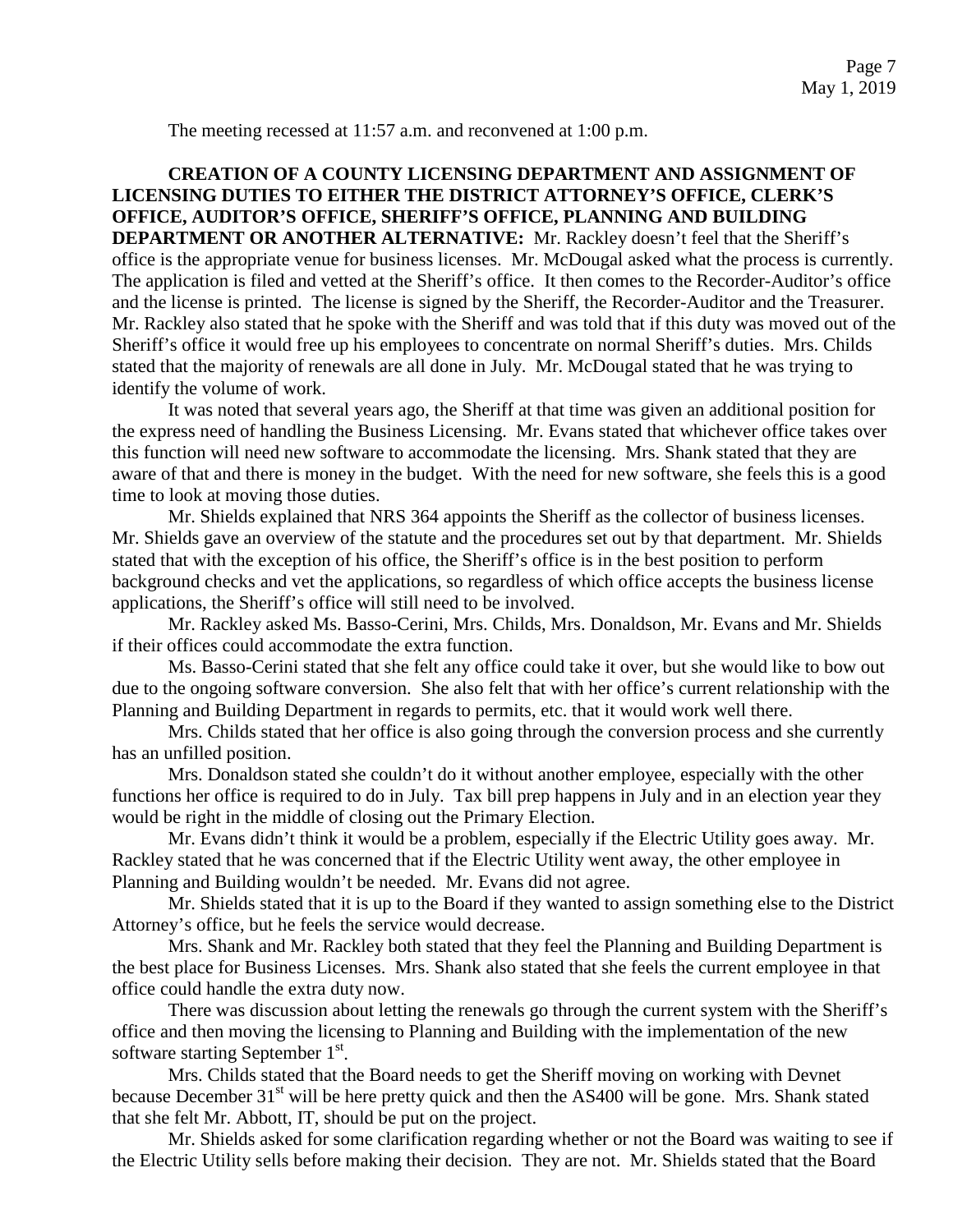The meeting recessed at 11:57 a.m. and reconvened at 1:00 p.m.

## **CREATION OF A COUNTY LICENSING DEPARTMENT AND ASSIGNMENT OF LICENSING DUTIES TO EITHER THE DISTRICT ATTORNEY'S OFFICE, CLERK'S OFFICE, AUDITOR'S OFFICE, SHERIFF'S OFFICE, PLANNING AND BUILDING**

**DEPARTMENT OR ANOTHER ALTERNATIVE:** Mr. Rackley doesn't feel that the Sheriff's office is the appropriate venue for business licenses. Mr. McDougal asked what the process is currently. The application is filed and vetted at the Sheriff's office. It then comes to the Recorder-Auditor's office and the license is printed. The license is signed by the Sheriff, the Recorder-Auditor and the Treasurer. Mr. Rackley also stated that he spoke with the Sheriff and was told that if this duty was moved out of the Sheriff's office it would free up his employees to concentrate on normal Sheriff's duties. Mrs. Childs stated that the majority of renewals are all done in July. Mr. McDougal stated that he was trying to identify the volume of work.

It was noted that several years ago, the Sheriff at that time was given an additional position for the express need of handling the Business Licensing. Mr. Evans stated that whichever office takes over this function will need new software to accommodate the licensing. Mrs. Shank stated that they are aware of that and there is money in the budget. With the need for new software, she feels this is a good time to look at moving those duties.

Mr. Shields explained that NRS 364 appoints the Sheriff as the collector of business licenses. Mr. Shields gave an overview of the statute and the procedures set out by that department. Mr. Shields stated that with the exception of his office, the Sheriff's office is in the best position to perform background checks and vet the applications, so regardless of which office accepts the business license applications, the Sheriff's office will still need to be involved.

Mr. Rackley asked Ms. Basso-Cerini, Mrs. Childs, Mrs. Donaldson, Mr. Evans and Mr. Shields if their offices could accommodate the extra function.

Ms. Basso-Cerini stated that she felt any office could take it over, but she would like to bow out due to the ongoing software conversion. She also felt that with her office's current relationship with the Planning and Building Department in regards to permits, etc. that it would work well there.

Mrs. Childs stated that her office is also going through the conversion process and she currently has an unfilled position.

Mrs. Donaldson stated she couldn't do it without another employee, especially with the other functions her office is required to do in July. Tax bill prep happens in July and in an election year they would be right in the middle of closing out the Primary Election.

Mr. Evans didn't think it would be a problem, especially if the Electric Utility goes away. Mr. Rackley stated that he was concerned that if the Electric Utility went away, the other employee in Planning and Building wouldn't be needed. Mr. Evans did not agree.

Mr. Shields stated that it is up to the Board if they wanted to assign something else to the District Attorney's office, but he feels the service would decrease.

Mrs. Shank and Mr. Rackley both stated that they feel the Planning and Building Department is the best place for Business Licenses. Mrs. Shank also stated that she feels the current employee in that office could handle the extra duty now.

There was discussion about letting the renewals go through the current system with the Sheriff's office and then moving the licensing to Planning and Building with the implementation of the new software starting September 1st.

Mrs. Childs stated that the Board needs to get the Sheriff moving on working with Devnet because December 31<sup>st</sup> will be here pretty quick and then the AS400 will be gone. Mrs. Shank stated that she felt Mr. Abbott, IT, should be put on the project.

Mr. Shields asked for some clarification regarding whether or not the Board was waiting to see if the Electric Utility sells before making their decision. They are not. Mr. Shields stated that the Board